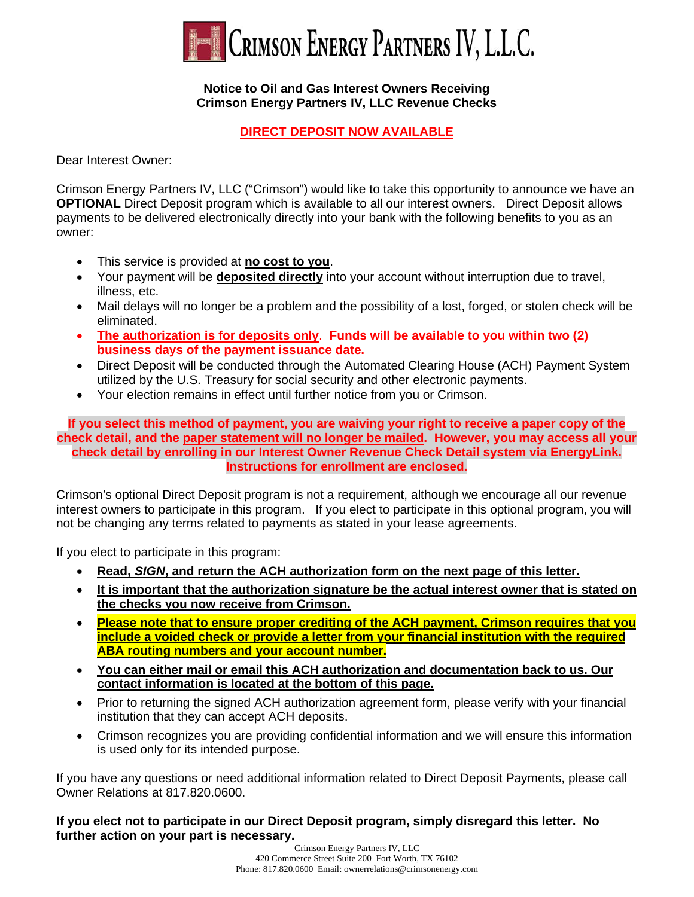

#### **Notice to Oil and Gas Interest Owners Receiving Crimson Energy Partners IV, LLC Revenue Checks**

## **DIRECT DEPOSIT NOW AVAILABLE**

Dear Interest Owner:

Crimson Energy Partners IV, LLC ("Crimson") would like to take this opportunity to announce we have an **OPTIONAL** Direct Deposit program which is available to all our interest owners. Direct Deposit allows payments to be delivered electronically directly into your bank with the following benefits to you as an owner:

- This service is provided at **no cost to you**.
- Your payment will be **deposited directly** into your account without interruption due to travel, illness, etc.
- Mail delays will no longer be a problem and the possibility of a lost, forged, or stolen check will be eliminated.
- **The authorization is for deposits only**. **Funds will be available to you within two (2) business days of the payment issuance date.**
- Direct Deposit will be conducted through the Automated Clearing House (ACH) Payment System utilized by the U.S. Treasury for social security and other electronic payments.
- Your election remains in effect until further notice from you or Crimson.

**If you select this method of payment, you are waiving your right to receive a paper copy of the check detail, and the paper statement will no longer be mailed. However, you may access all your check detail by enrolling in our Interest Owner Revenue Check Detail system via EnergyLink. Instructions for enrollment are enclosed.**

Crimson's optional Direct Deposit program is not a requirement, although we encourage all our revenue interest owners to participate in this program. If you elect to participate in this optional program, you will not be changing any terms related to payments as stated in your lease agreements.

If you elect to participate in this program:

- **Read,** *SIGN***, and return the ACH authorization form on the next page of this letter.**
- **It is important that the authorization signature be the actual interest owner that is stated on the checks you now receive from Crimson.**
- **Please note that to ensure proper crediting of the ACH payment, Crimson requires that you include a voided check or provide a letter from your financial institution with the required ABA routing numbers and your account number.**
- **You can either mail or email this ACH authorization and documentation back to us. Our contact information is located at the bottom of this page.**
- Prior to returning the signed ACH authorization agreement form, please verify with your financial institution that they can accept ACH deposits.
- Crimson recognizes you are providing confidential information and we will ensure this information is used only for its intended purpose.

If you have any questions or need additional information related to Direct Deposit Payments, please call Owner Relations at 817.820.0600.

**If you elect not to participate in our Direct Deposit program, simply disregard this letter. No further action on your part is necessary.**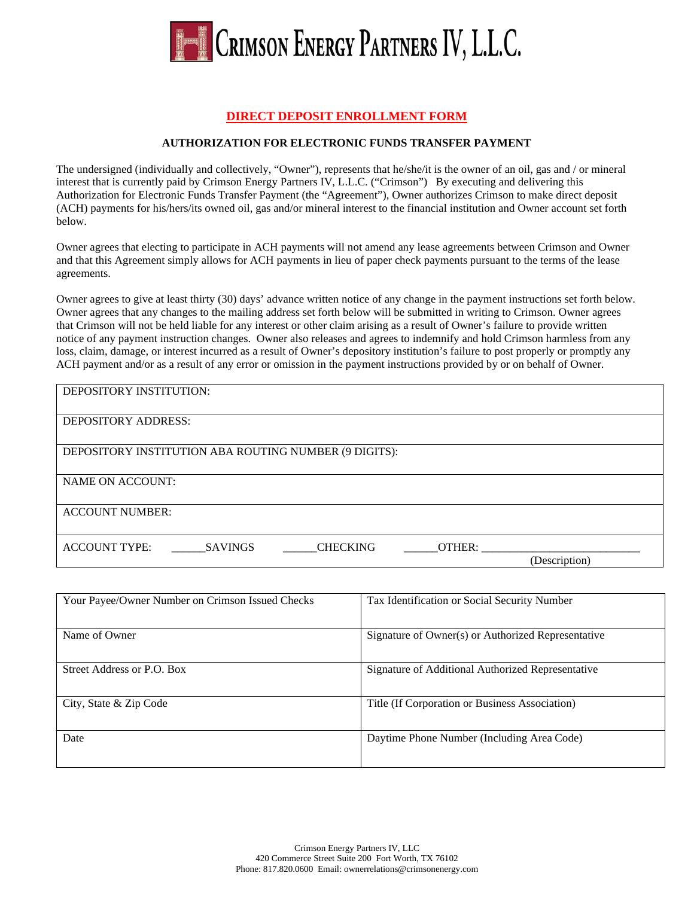

## **DIRECT DEPOSIT ENROLLMENT FORM**

#### **AUTHORIZATION FOR ELECTRONIC FUNDS TRANSFER PAYMENT**

The undersigned (individually and collectively, "Owner"), represents that he/she/it is the owner of an oil, gas and / or mineral interest that is currently paid by Crimson Energy Partners IV, L.L.C. ("Crimson") By executing and delivering this Authorization for Electronic Funds Transfer Payment (the "Agreement"), Owner authorizes Crimson to make direct deposit (ACH) payments for his/hers/its owned oil, gas and/or mineral interest to the financial institution and Owner account set forth below.

Owner agrees that electing to participate in ACH payments will not amend any lease agreements between Crimson and Owner and that this Agreement simply allows for ACH payments in lieu of paper check payments pursuant to the terms of the lease agreements.

Owner agrees to give at least thirty (30) days' advance written notice of any change in the payment instructions set forth below. Owner agrees that any changes to the mailing address set forth below will be submitted in writing to Crimson. Owner agrees that Crimson will not be held liable for any interest or other claim arising as a result of Owner's failure to provide written notice of any payment instruction changes. Owner also releases and agrees to indemnify and hold Crimson harmless from any loss, claim, damage, or interest incurred as a result of Owner's depository institution's failure to post properly or promptly any ACH payment and/or as a result of any error or omission in the payment instructions provided by or on behalf of Owner.

| DEPOSITORY INSTITUTION:                                             |               |
|---------------------------------------------------------------------|---------------|
| <b>DEPOSITORY ADDRESS:</b>                                          |               |
| DEPOSITORY INSTITUTION ABA ROUTING NUMBER (9 DIGITS):               |               |
| NAME ON ACCOUNT:                                                    |               |
| <b>ACCOUNT NUMBER:</b>                                              |               |
| <b>ACCOUNT TYPE:</b><br><b>SAVINGS</b><br><b>CHECKING</b><br>OTHER: | (Description) |

| Your Payee/Owner Number on Crimson Issued Checks | Tax Identification or Social Security Number       |
|--------------------------------------------------|----------------------------------------------------|
| Name of Owner                                    | Signature of Owner(s) or Authorized Representative |
| Street Address or P.O. Box                       | Signature of Additional Authorized Representative  |
| City, State & Zip Code                           | Title (If Corporation or Business Association)     |
| Date                                             | Daytime Phone Number (Including Area Code)         |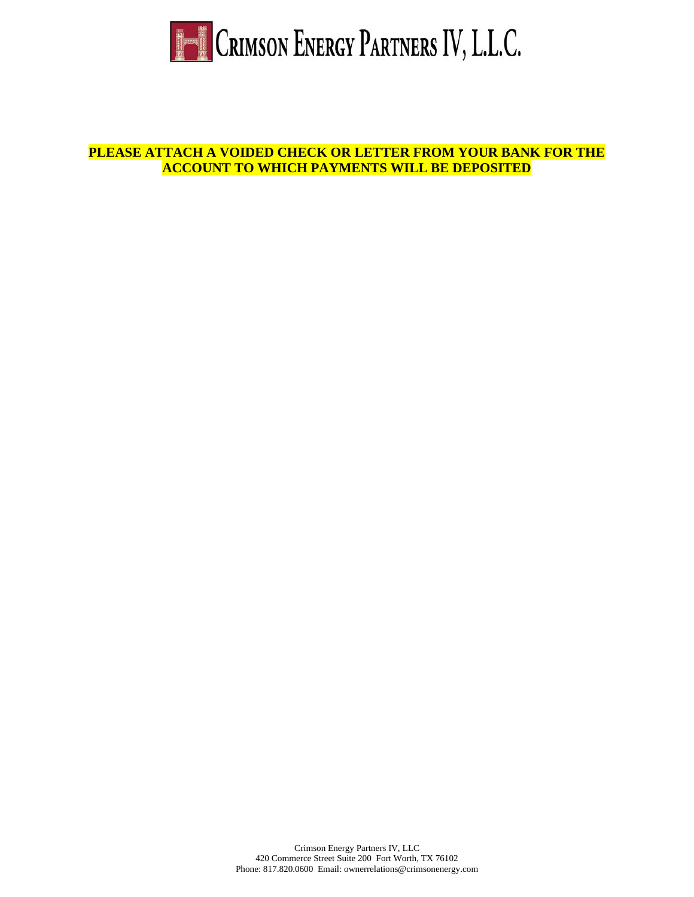

**PLEASE ATTACH A VOIDED CHECK OR LETTER FROM YOUR BANK FOR THE ACCOUNT TO WHICH PAYMENTS WILL BE DEPOSITED**

> Crimson Energy Partners IV, LLC 420 Commerce Street Suite 200 Fort Worth, TX 76102 Phone: 817.820.0600 Email: ownerrelations@crimsonenergy.com